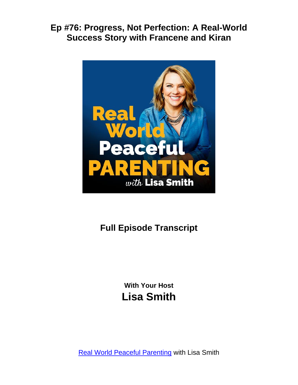

# **Full Episode Transcript**

**With Your Host Lisa Smith**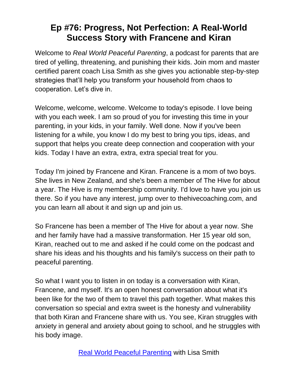Welcome to *Real World Peaceful Parenting*, a podcast for parents that are tired of yelling, threatening, and punishing their kids. Join mom and master certified parent coach Lisa Smith as she gives you actionable step-by-step strategies that'll help you transform your household from chaos to cooperation. Let's dive in.

Welcome, welcome, welcome. Welcome to today's episode. I love being with you each week. I am so proud of you for investing this time in your parenting, in your kids, in your family. Well done. Now if you've been listening for a while, you know I do my best to bring you tips, ideas, and support that helps you create deep connection and cooperation with your kids. Today I have an extra, extra, extra special treat for you.

Today I'm joined by Francene and Kiran. Francene is a mom of two boys. She lives in New Zealand, and she's been a member of The Hive for about a year. The Hive is my membership community. I'd love to have you join us there. So if you have any interest, jump over to thehivecoaching.com, and you can learn all about it and sign up and join us.

So Francene has been a member of The Hive for about a year now. She and her family have had a massive transformation. Her 15 year old son, Kiran, reached out to me and asked if he could come on the podcast and share his ideas and his thoughts and his family's success on their path to peaceful parenting.

So what I want you to listen in on today is a conversation with Kiran, Francene, and myself. It's an open honest conversation about what it's been like for the two of them to travel this path together. What makes this conversation so special and extra sweet is the honesty and vulnerability that both Kiran and Francene share with us. You see, Kiran struggles with anxiety in general and anxiety about going to school, and he struggles with his body image.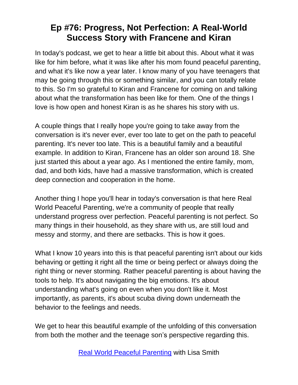In today's podcast, we get to hear a little bit about this. About what it was like for him before, what it was like after his mom found peaceful parenting, and what it's like now a year later. I know many of you have teenagers that may be going through this or something similar, and you can totally relate to this. So I'm so grateful to Kiran and Francene for coming on and talking about what the transformation has been like for them. One of the things I love is how open and honest Kiran is as he shares his story with us.

A couple things that I really hope you're going to take away from the conversation is it's never ever, ever too late to get on the path to peaceful parenting. It's never too late. This is a beautiful family and a beautiful example. In addition to Kiran, Francene has an older son around 18. She just started this about a year ago. As I mentioned the entire family, mom, dad, and both kids, have had a massive transformation, which is created deep connection and cooperation in the home.

Another thing I hope you'll hear in today's conversation is that here Real World Peaceful Parenting, we're a community of people that really understand progress over perfection. Peaceful parenting is not perfect. So many things in their household, as they share with us, are still loud and messy and stormy, and there are setbacks. This is how it goes.

What I know 10 years into this is that peaceful parenting isn't about our kids behaving or getting it right all the time or being perfect or always doing the right thing or never storming. Rather peaceful parenting is about having the tools to help. It's about navigating the big emotions. It's about understanding what's going on even when you don't like it. Most importantly, as parents, it's about scuba diving down underneath the behavior to the feelings and needs.

We get to hear this beautiful example of the unfolding of this conversation from both the mother and the teenage son's perspective regarding this.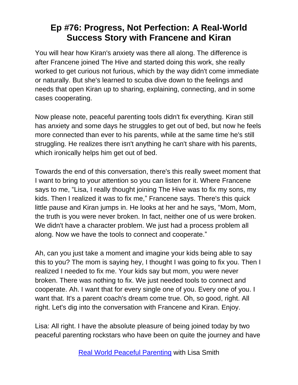You will hear how Kiran's anxiety was there all along. The difference is after Francene joined The Hive and started doing this work, she really worked to get curious not furious, which by the way didn't come immediate or naturally. But she's learned to scuba dive down to the feelings and needs that open Kiran up to sharing, explaining, connecting, and in some cases cooperating.

Now please note, peaceful parenting tools didn't fix everything. Kiran still has anxiety and some days he struggles to get out of bed, but now he feels more connected than ever to his parents, while at the same time he's still struggling. He realizes there isn't anything he can't share with his parents, which ironically helps him get out of bed.

Towards the end of this conversation, there's this really sweet moment that I want to bring to your attention so you can listen for it. Where Francene says to me, "Lisa, I really thought joining The Hive was to fix my sons, my kids. Then I realized it was to fix me," Francene says. There's this quick little pause and Kiran jumps in. He looks at her and he says, "Mom, Mom, the truth is you were never broken. In fact, neither one of us were broken. We didn't have a character problem. We just had a process problem all along. Now we have the tools to connect and cooperate."

Ah, can you just take a moment and imagine your kids being able to say this to you? The mom is saying hey, I thought I was going to fix you. Then I realized I needed to fix me. Your kids say but mom, you were never broken. There was nothing to fix. We just needed tools to connect and cooperate. Ah. I want that for every single one of you. Every one of you. I want that. It's a parent coach's dream come true. Oh, so good, right. All right. Let's dig into the conversation with Francene and Kiran. Enjoy.

Lisa: All right. I have the absolute pleasure of being joined today by two peaceful parenting rockstars who have been on quite the journey and have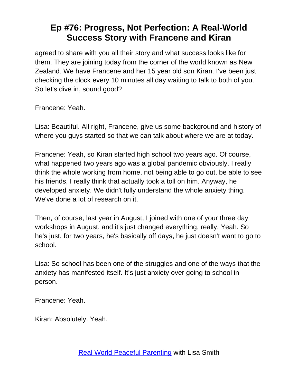agreed to share with you all their story and what success looks like for them. They are joining today from the corner of the world known as New Zealand. We have Francene and her 15 year old son Kiran. I've been just checking the clock every 10 minutes all day waiting to talk to both of you. So let's dive in, sound good?

Francene: Yeah.

Lisa: Beautiful. All right, Francene, give us some background and history of where you guys started so that we can talk about where we are at today.

Francene: Yeah, so Kiran started high school two years ago. Of course, what happened two years ago was a global pandemic obviously. I really think the whole working from home, not being able to go out, be able to see his friends, I really think that actually took a toll on him. Anyway, he developed anxiety. We didn't fully understand the whole anxiety thing. We've done a lot of research on it.

Then, of course, last year in August, I joined with one of your three day workshops in August, and it's just changed everything, really. Yeah. So he's just, for two years, he's basically off days, he just doesn't want to go to school.

Lisa: So school has been one of the struggles and one of the ways that the anxiety has manifested itself. It's just anxiety over going to school in person.

Francene: Yeah.

Kiran: Absolutely. Yeah.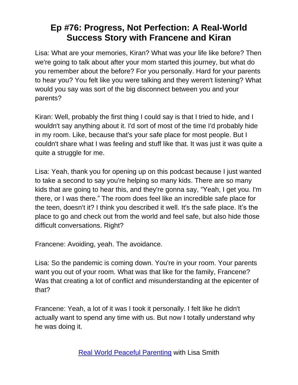Lisa: What are your memories, Kiran? What was your life like before? Then we're going to talk about after your mom started this journey, but what do you remember about the before? For you personally. Hard for your parents to hear you? You felt like you were talking and they weren't listening? What would you say was sort of the big disconnect between you and your parents?

Kiran: Well, probably the first thing I could say is that I tried to hide, and I wouldn't say anything about it. I'd sort of most of the time I'd probably hide in my room. Like, because that's your safe place for most people. But I couldn't share what I was feeling and stuff like that. It was just it was quite a quite a struggle for me.

Lisa: Yeah, thank you for opening up on this podcast because I just wanted to take a second to say you're helping so many kids. There are so many kids that are going to hear this, and they're gonna say, "Yeah, I get you. I'm there, or I was there." The room does feel like an incredible safe place for the teen, doesn't it? I think you described it well. It's the safe place. It's the place to go and check out from the world and feel safe, but also hide those difficult conversations. Right?

Francene: Avoiding, yeah. The avoidance.

Lisa: So the pandemic is coming down. You're in your room. Your parents want you out of your room. What was that like for the family, Francene? Was that creating a lot of conflict and misunderstanding at the epicenter of that?

Francene: Yeah, a lot of it was I took it personally. I felt like he didn't actually want to spend any time with us. But now I totally understand why he was doing it.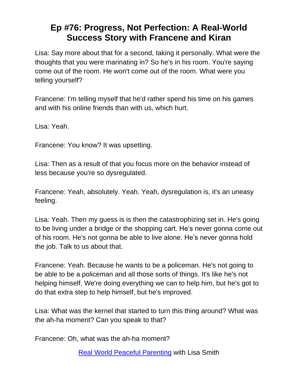Lisa: Say more about that for a second, taking it personally. What were the thoughts that you were marinating in? So he's in his room. You're saying come out of the room. He won't come out of the room. What were you telling yourself?

Francene: I'm telling myself that he'd rather spend his time on his games and with his online friends than with us, which hurt.

Lisa: Yeah.

Francene: You know? It was upsetting.

Lisa: Then as a result of that you focus more on the behavior instead of less because you're so dysregulated.

Francene: Yeah, absolutely. Yeah. Yeah, dysregulation is, it's an uneasy feeling.

Lisa: Yeah. Then my guess is is then the catastrophizing set in. He's going to be living under a bridge or the shopping cart. He's never gonna come out of his room. He's not gonna be able to live alone. He's never gonna hold the job. Talk to us about that.

Francene: Yeah. Because he wants to be a policeman. He's not going to be able to be a policeman and all those sorts of things. It's like he's not helping himself. We're doing everything we can to help him, but he's got to do that extra step to help himself, but he's improved.

Lisa: What was the kernel that started to turn this thing around? What was the ah-ha moment? Can you speak to that?

Francene: Oh, what was the ah-ha moment?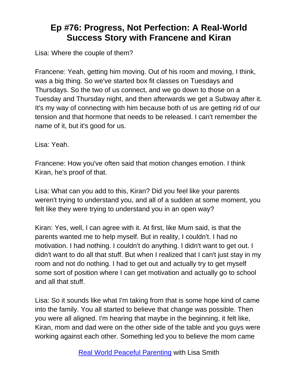Lisa: Where the couple of them?

Francene: Yeah, getting him moving. Out of his room and moving, I think, was a big thing. So we've started box fit classes on Tuesdays and Thursdays. So the two of us connect, and we go down to those on a Tuesday and Thursday night, and then afterwards we get a Subway after it. It's my way of connecting with him because both of us are getting rid of our tension and that hormone that needs to be released. I can't remember the name of it, but it's good for us.

Lisa: Yeah.

Francene: How you've often said that motion changes emotion. I think Kiran, he's proof of that.

Lisa: What can you add to this, Kiran? Did you feel like your parents weren't trying to understand you, and all of a sudden at some moment, you felt like they were trying to understand you in an open way?

Kiran: Yes, well, I can agree with it. At first, like Mum said, is that the parents wanted me to help myself. But in reality, I couldn't. I had no motivation. I had nothing. I couldn't do anything. I didn't want to get out. I didn't want to do all that stuff. But when I realized that I can't just stay in my room and not do nothing. I had to get out and actually try to get myself some sort of position where I can get motivation and actually go to school and all that stuff.

Lisa: So it sounds like what I'm taking from that is some hope kind of came into the family. You all started to believe that change was possible. Then you were all aligned. I'm hearing that maybe in the beginning, it felt like, Kiran, mom and dad were on the other side of the table and you guys were working against each other. Something led you to believe the mom came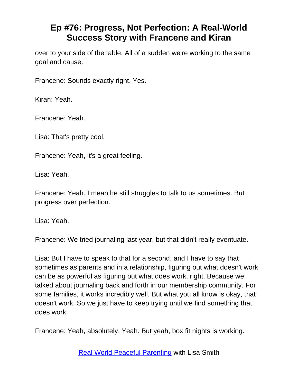over to your side of the table. All of a sudden we're working to the same goal and cause.

Francene: Sounds exactly right. Yes.

Kiran: Yeah.

Francene: Yeah.

Lisa: That's pretty cool.

Francene: Yeah, it's a great feeling.

Lisa: Yeah.

Francene: Yeah. I mean he still struggles to talk to us sometimes. But progress over perfection.

Lisa: Yeah.

Francene: We tried journaling last year, but that didn't really eventuate.

Lisa: But I have to speak to that for a second, and I have to say that sometimes as parents and in a relationship, figuring out what doesn't work can be as powerful as figuring out what does work, right. Because we talked about journaling back and forth in our membership community. For some families, it works incredibly well. But what you all know is okay, that doesn't work. So we just have to keep trying until we find something that does work.

Francene: Yeah, absolutely. Yeah. But yeah, box fit nights is working.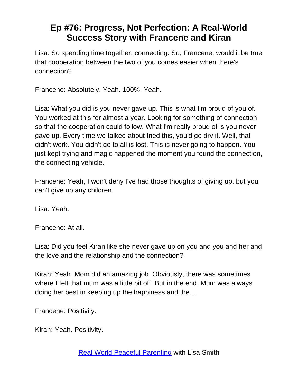Lisa: So spending time together, connecting. So, Francene, would it be true that cooperation between the two of you comes easier when there's connection?

Francene: Absolutely. Yeah. 100%. Yeah.

Lisa: What you did is you never gave up. This is what I'm proud of you of. You worked at this for almost a year. Looking for something of connection so that the cooperation could follow. What I'm really proud of is you never gave up. Every time we talked about tried this, you'd go dry it. Well, that didn't work. You didn't go to all is lost. This is never going to happen. You just kept trying and magic happened the moment you found the connection, the connecting vehicle.

Francene: Yeah, I won't deny I've had those thoughts of giving up, but you can't give up any children.

Lisa: Yeah.

Francene: At all.

Lisa: Did you feel Kiran like she never gave up on you and you and her and the love and the relationship and the connection?

Kiran: Yeah. Mom did an amazing job. Obviously, there was sometimes where I felt that mum was a little bit off. But in the end, Mum was always doing her best in keeping up the happiness and the…

Francene: Positivity.

Kiran: Yeah. Positivity.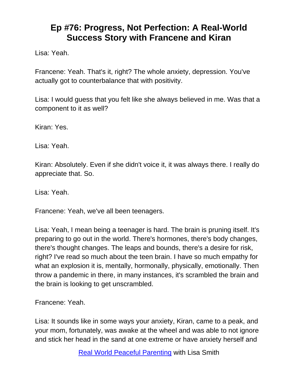Lisa: Yeah.

Francene: Yeah. That's it, right? The whole anxiety, depression. You've actually got to counterbalance that with positivity.

Lisa: I would guess that you felt like she always believed in me. Was that a component to it as well?

Kiran: Yes.

Lisa: Yeah.

Kiran: Absolutely. Even if she didn't voice it, it was always there. I really do appreciate that. So.

Lisa: Yeah.

Francene: Yeah, we've all been teenagers.

Lisa: Yeah, I mean being a teenager is hard. The brain is pruning itself. It's preparing to go out in the world. There's hormones, there's body changes, there's thought changes. The leaps and bounds, there's a desire for risk, right? I've read so much about the teen brain. I have so much empathy for what an explosion it is, mentally, hormonally, physically, emotionally. Then throw a pandemic in there, in many instances, it's scrambled the brain and the brain is looking to get unscrambled.

Francene: Yeah.

Lisa: It sounds like in some ways your anxiety, Kiran, came to a peak, and your mom, fortunately, was awake at the wheel and was able to not ignore and stick her head in the sand at one extreme or have anxiety herself and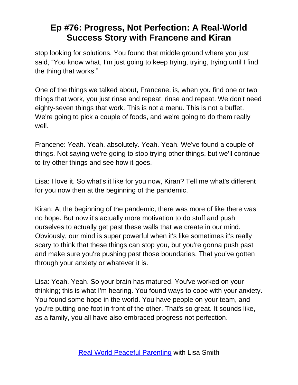stop looking for solutions. You found that middle ground where you just said, "You know what, I'm just going to keep trying, trying, trying until I find the thing that works."

One of the things we talked about, Francene, is, when you find one or two things that work, you just rinse and repeat, rinse and repeat. We don't need eighty-seven things that work. This is not a menu. This is not a buffet. We're going to pick a couple of foods, and we're going to do them really well.

Francene: Yeah. Yeah, absolutely. Yeah. Yeah. We've found a couple of things. Not saying we're going to stop trying other things, but we'll continue to try other things and see how it goes.

Lisa: I love it. So what's it like for you now, Kiran? Tell me what's different for you now then at the beginning of the pandemic.

Kiran: At the beginning of the pandemic, there was more of like there was no hope. But now it's actually more motivation to do stuff and push ourselves to actually get past these walls that we create in our mind. Obviously, our mind is super powerful when it's like sometimes it's really scary to think that these things can stop you, but you're gonna push past and make sure you're pushing past those boundaries. That you've gotten through your anxiety or whatever it is.

Lisa: Yeah. Yeah. So your brain has matured. You've worked on your thinking; this is what I'm hearing. You found ways to cope with your anxiety. You found some hope in the world. You have people on your team, and you're putting one foot in front of the other. That's so great. It sounds like, as a family, you all have also embraced progress not perfection.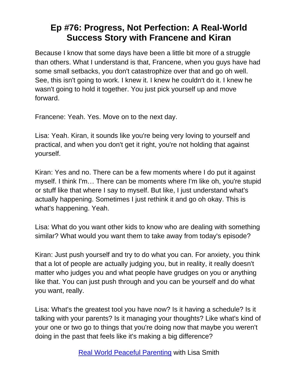Because I know that some days have been a little bit more of a struggle than others. What I understand is that, Francene, when you guys have had some small setbacks, you don't catastrophize over that and go oh well. See, this isn't going to work. I knew it. I knew he couldn't do it. I knew he wasn't going to hold it together. You just pick yourself up and move forward.

Francene: Yeah. Yes. Move on to the next day.

Lisa: Yeah. Kiran, it sounds like you're being very loving to yourself and practical, and when you don't get it right, you're not holding that against yourself.

Kiran: Yes and no. There can be a few moments where I do put it against myself. I think I'm… There can be moments where I'm like oh, you're stupid or stuff like that where I say to myself. But like, I just understand what's actually happening. Sometimes I just rethink it and go oh okay. This is what's happening. Yeah.

Lisa: What do you want other kids to know who are dealing with something similar? What would you want them to take away from today's episode?

Kiran: Just push yourself and try to do what you can. For anxiety, you think that a lot of people are actually judging you, but in reality, it really doesn't matter who judges you and what people have grudges on you or anything like that. You can just push through and you can be yourself and do what you want, really.

Lisa: What's the greatest tool you have now? Is it having a schedule? Is it talking with your parents? Is it managing your thoughts? Like what's kind of your one or two go to things that you're doing now that maybe you weren't doing in the past that feels like it's making a big difference?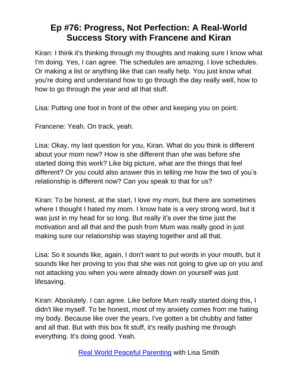Kiran: I think it's thinking through my thoughts and making sure I know what I'm doing. Yes, I can agree. The schedules are amazing. I love schedules. Or making a list or anything like that can really help. You just know what you're doing and understand how to go through the day really well, how to how to go through the year and all that stuff.

Lisa: Putting one foot in front of the other and keeping you on point.

Francene: Yeah. On track, yeah.

Lisa: Okay, my last question for you, Kiran. What do you think is different about your mom now? How is she different than she was before she started doing this work? Like big picture, what are the things that feel different? Or you could also answer this in telling me how the two of you's relationship is different now? Can you speak to that for us?

Kiran: To be honest, at the start, I love my mom, but there are sometimes where I thought I hated my mom. I know hate is a very strong word, but it was just in my head for so long. But really it's over the time just the motivation and all that and the push from Mum was really good in just making sure our relationship was staying together and all that.

Lisa: So it sounds like, again, I don't want to put words in your mouth, but it sounds like her proving to you that she was not going to give up on you and not attacking you when you were already down on yourself was just lifesaving.

Kiran: Absolutely. I can agree. Like before Mum really started doing this, I didn't like myself. To be honest, most of my anxiety comes from me hating my body. Because like over the years, I've gotten a bit chubby and fatter and all that. But with this box fit stuff, it's really pushing me through everything. It's doing good. Yeah.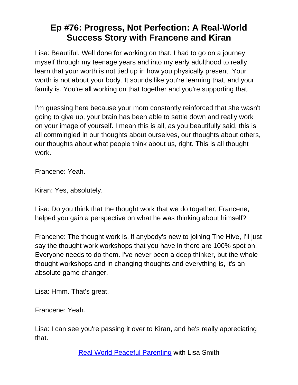Lisa: Beautiful. Well done for working on that. I had to go on a journey myself through my teenage years and into my early adulthood to really learn that your worth is not tied up in how you physically present. Your worth is not about your body. It sounds like you're learning that, and your family is. You're all working on that together and you're supporting that.

I'm guessing here because your mom constantly reinforced that she wasn't going to give up, your brain has been able to settle down and really work on your image of yourself. I mean this is all, as you beautifully said, this is all commingled in our thoughts about ourselves, our thoughts about others, our thoughts about what people think about us, right. This is all thought work.

Francene: Yeah.

Kiran: Yes, absolutely.

Lisa: Do you think that the thought work that we do together, Francene, helped you gain a perspective on what he was thinking about himself?

Francene: The thought work is, if anybody's new to joining The Hive, I'll just say the thought work workshops that you have in there are 100% spot on. Everyone needs to do them. I've never been a deep thinker, but the whole thought workshops and in changing thoughts and everything is, it's an absolute game changer.

Lisa: Hmm. That's great.

Francene: Yeah.

Lisa: I can see you're passing it over to Kiran, and he's really appreciating that.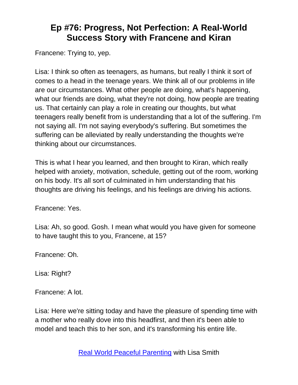Francene: Trying to, yep.

Lisa: I think so often as teenagers, as humans, but really I think it sort of comes to a head in the teenage years. We think all of our problems in life are our circumstances. What other people are doing, what's happening, what our friends are doing, what they're not doing, how people are treating us. That certainly can play a role in creating our thoughts, but what teenagers really benefit from is understanding that a lot of the suffering. I'm not saying all. I'm not saying everybody's suffering. But sometimes the suffering can be alleviated by really understanding the thoughts we're thinking about our circumstances.

This is what I hear you learned, and then brought to Kiran, which really helped with anxiety, motivation, schedule, getting out of the room, working on his body. It's all sort of culminated in him understanding that his thoughts are driving his feelings, and his feelings are driving his actions.

Francene: Yes.

Lisa: Ah, so good. Gosh. I mean what would you have given for someone to have taught this to you, Francene, at 15?

Francene: Oh.

Lisa: Right?

Francene: A lot.

Lisa: Here we're sitting today and have the pleasure of spending time with a mother who really dove into this headfirst, and then it's been able to model and teach this to her son, and it's transforming his entire life.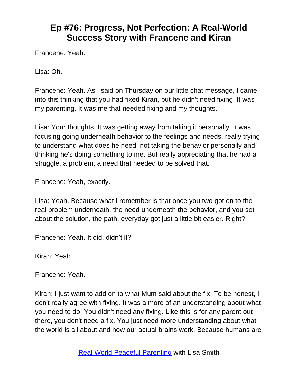Francene: Yeah.

Lisa: Oh.

Francene: Yeah. As I said on Thursday on our little chat message, I came into this thinking that you had fixed Kiran, but he didn't need fixing. It was my parenting. It was me that needed fixing and my thoughts.

Lisa: Your thoughts. It was getting away from taking it personally. It was focusing going underneath behavior to the feelings and needs, really trying to understand what does he need, not taking the behavior personally and thinking he's doing something to me. But really appreciating that he had a struggle, a problem, a need that needed to be solved that.

Francene: Yeah, exactly.

Lisa: Yeah. Because what I remember is that once you two got on to the real problem underneath, the need underneath the behavior, and you set about the solution, the path, everyday got just a little bit easier. Right?

Francene: Yeah. It did, didn't it?

Kiran: Yeah.

Francene: Yeah.

Kiran: I just want to add on to what Mum said about the fix. To be honest, I don't really agree with fixing. It was a more of an understanding about what you need to do. You didn't need any fixing. Like this is for any parent out there, you don't need a fix. You just need more understanding about what the world is all about and how our actual brains work. Because humans are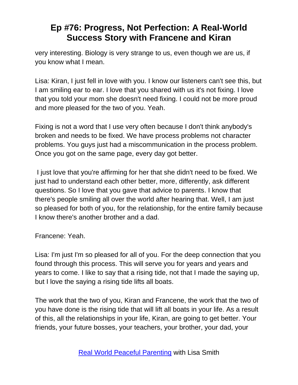very interesting. Biology is very strange to us, even though we are us, if you know what I mean.

Lisa: Kiran, I just fell in love with you. I know our listeners can't see this, but I am smiling ear to ear. I love that you shared with us it's not fixing. I love that you told your mom she doesn't need fixing. I could not be more proud and more pleased for the two of you. Yeah.

Fixing is not a word that I use very often because I don't think anybody's broken and needs to be fixed. We have process problems not character problems. You guys just had a miscommunication in the process problem. Once you got on the same page, every day got better.

I just love that you're affirming for her that she didn't need to be fixed. We just had to understand each other better, more, differently, ask different questions. So I love that you gave that advice to parents. I know that there's people smiling all over the world after hearing that. Well, I am just so pleased for both of you, for the relationship, for the entire family because I know there's another brother and a dad.

Francene: Yeah.

Lisa: I'm just I'm so pleased for all of you. For the deep connection that you found through this process. This will serve you for years and years and years to come. I like to say that a rising tide, not that I made the saying up, but I love the saying a rising tide lifts all boats.

The work that the two of you, Kiran and Francene, the work that the two of you have done is the rising tide that will lift all boats in your life. As a result of this, all the relationships in your life, Kiran, are going to get better. Your friends, your future bosses, your teachers, your brother, your dad, your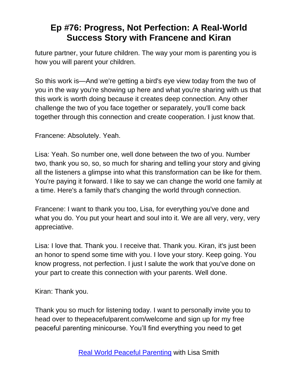future partner, your future children. The way your mom is parenting you is how you will parent your children.

So this work is—And we're getting a bird's eye view today from the two of you in the way you're showing up here and what you're sharing with us that this work is worth doing because it creates deep connection. Any other challenge the two of you face together or separately, you'll come back together through this connection and create cooperation. I just know that.

Francene: Absolutely. Yeah.

Lisa: Yeah. So number one, well done between the two of you. Number two, thank you so, so, so much for sharing and telling your story and giving all the listeners a glimpse into what this transformation can be like for them. You're paying it forward. I like to say we can change the world one family at a time. Here's a family that's changing the world through connection.

Francene: I want to thank you too, Lisa, for everything you've done and what you do. You put your heart and soul into it. We are all very, very, very appreciative.

Lisa: I love that. Thank you. I receive that. Thank you. Kiran, it's just been an honor to spend some time with you. I love your story. Keep going. You know progress, not perfection. I just I salute the work that you've done on your part to create this connection with your parents. Well done.

Kiran: Thank you.

Thank you so much for listening today. I want to personally invite you to head over to thepeacefulparent.com/welcome and sign up for my free peaceful parenting minicourse. You'll find everything you need to get